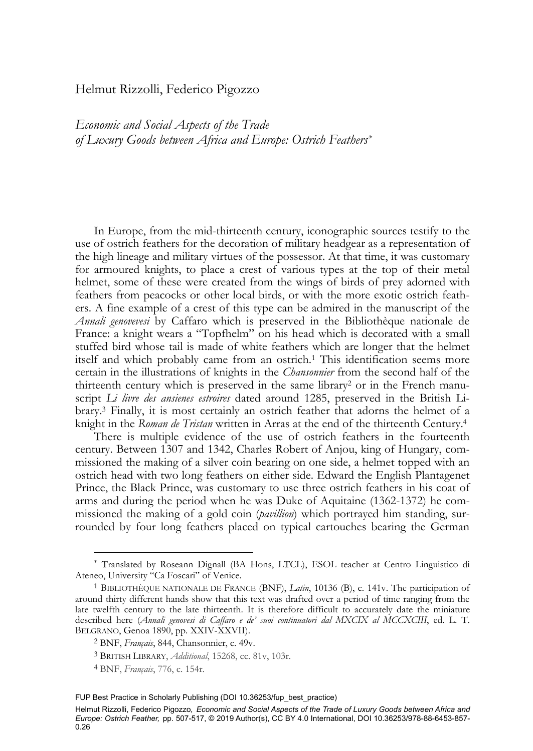# Helmut Rizzolli, Federico Pigozzo

*Economic and Social Aspects of the Trade of Luxury Goods between Africa and Europe: Ostrich Feathers\**

In Europe, from the mid-thirteenth century, iconographic sources testify to the use of ostrich feathers for the decoration of military headgear as a representation of the high lineage and military virtues of the possessor. At that time, it was customary for armoured knights, to place a crest of various types at the top of their metal helmet, some of these were created from the wings of birds of prey adorned with feathers from peacocks or other local birds, or with the more exotic ostrich feathers. A fine example of a crest of this type can be admired in the manuscript of the *Annali genovevesi* by Caffaro which is preserved in the Bibliothèque nationale de France: a knight wears a "Topfhelm" on his head which is decorated with a small stuffed bird whose tail is made of white feathers which are longer that the helmet itself and which probably came from an ostrich.1 This identification seems more certain in the illustrations of knights in the *Chansonnier* from the second half of the thirteenth century which is preserved in the same library<sup>2</sup> or in the French manuscript *Li livre des ansienes estroires* dated around 1285, preserved in the British Library.3 Finally, it is most certainly an ostrich feather that adorns the helmet of a knight in the *Roman de Tristan* written in Arras at the end of the thirteenth Century.4

There is multiple evidence of the use of ostrich feathers in the fourteenth century. Between 1307 and 1342, Charles Robert of Anjou, king of Hungary, commissioned the making of a silver coin bearing on one side, a helmet topped with an ostrich head with two long feathers on either side. Edward the English Plantagenet Prince, the Black Prince, was customary to use three ostrich feathers in his coat of arms and during the period when he was Duke of Aquitaine (1362-1372) he commissioned the making of a gold coin (*pavillion*) which portrayed him standing, surrounded by four long feathers placed on typical cartouches bearing the German

<sup>\*</sup> Translated by Roseann Dignall (BA Hons, LTCL), ESOL teacher at Centro Linguistico di Ateneo, University "Ca Foscari" of Venice.<br><sup>1</sup> BIBLIOTHÈQUE NATIONALE DE FRANCE (BNF), *Latin*, 10136 (B), c. 141v. The participation of

around thirty different hands show that this text was drafted over a period of time ranging from the late twelfth century to the late thirteenth. It is therefore difficult to accurately date the miniature described here (*Annali genovesi di Caffaro e de' suoi continuatori dal MXCIX al MCCXCIII*, ed. L. T. BELGRANO, Genoa 1890, pp. XXIV-XXVII). 2 BNF, *Français*, 844, Chansonnier, c. 49v.

<sup>3</sup> BRITISH LIBRARY, *Additional*, 15268, cc. 81v, 103r.

<sup>4</sup> BNF, *Français*, 776, c. 154r.

FUP Best Practice in Scholarly Publishing (DOI [10.36253/fup\\_best\\_practice\)](https://doi.org/10.36253/fup_best_practice)

Helmut Rizzolli, Federico Pigozzo*, Economic and Social Aspects of the Trade of Luxury Goods between Africa and Europe: Ostrich Feather,* pp. 507-517, © 2019 Author(s), [CC BY 4.0 International,](http://creativecommons.org/licenses/by/4.0/legalcode) DOI [10.36253/978-88-6453-857-](https://doi.org/10.36253/978-88-6453-857-0.26) [0.26](https://doi.org/10.36253/978-88-6453-857-0.26)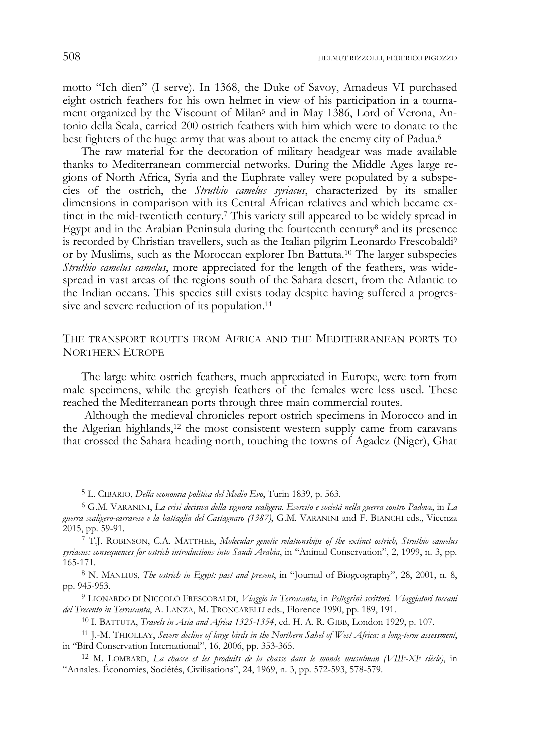motto "Ich dien" (I serve). In 1368, the Duke of Savoy, Amadeus VI purchased eight ostrich feathers for his own helmet in view of his participation in a tournament organized by the Viscount of Milan<sup>5</sup> and in May 1386, Lord of Verona, Antonio della Scala, carried 200 ostrich feathers with him which were to donate to the best fighters of the huge army that was about to attack the enemy city of Padua.<sup>6</sup>

The raw material for the decoration of military headgear was made available thanks to Mediterranean commercial networks. During the Middle Ages large regions of North Africa, Syria and the Euphrate valley were populated by a subspecies of the ostrich, the *Struthio camelus syriacus*, characterized by its smaller dimensions in comparison with its Central African relatives and which became extinct in the mid-twentieth century.7 This variety still appeared to be widely spread in Egypt and in the Arabian Peninsula during the fourteenth century8 and its presence is recorded by Christian travellers, such as the Italian pilgrim Leonardo Frescobaldi<sup>9</sup> or by Muslims, such as the Moroccan explorer Ibn Battuta.10 The larger subspecies *Struthio camelus camelus*, more appreciated for the length of the feathers, was widespread in vast areas of the regions south of the Sahara desert, from the Atlantic to the Indian oceans. This species still exists today despite having suffered a progressive and severe reduction of its population.<sup>11</sup>

## THE TRANSPORT ROUTES FROM AFRICA AND THE MEDITERRANEAN PORTS TO NORTHERN EUROPE

The large white ostrich feathers, much appreciated in Europe, were torn from male specimens, while the greyish feathers of the females were less used. These reached the Mediterranean ports through three main commercial routes.

 Although the medieval chronicles report ostrich specimens in Morocco and in the Algerian highlands,12 the most consistent western supply came from caravans that crossed the Sahara heading north, touching the towns of Agadez (Niger), Ghat

<sup>5</sup> L. CIBARIO, *Della economia politica del Medio Evo*, Turin 1839, p. 563.

<sup>6</sup> G.M. VARANINI, *La crisi decisiva della signora scaligera. Esercito e società nella guerra contro Padov*a, in *La guerra scaligero-carrarese e la battaglia del Castagnaro (1387)*, G.M. VARANINI and F. BIANCHI eds., Vicenza

<sup>&</sup>lt;sup>7</sup> T.J. ROBINSON, C.A. MATTHEE, *Molecular genetic relationships of the extinct ostrich, Struthio camelus syriacus: consequences for ostrich introductions into Saudi Arabia*, in "Animal Conservation", 2, 1999, n. 3, pp. 165-171.

<sup>8</sup> N. MANLIUS, *The ostrich in Egypt: past and present*, in "Journal of Biogeography", 28, 2001, n. 8, pp. 945-953.

<sup>9</sup> LIONARDO DI NICCOLÒ FRESCOBALDI, *Viaggio in Terrasanta*, in *Pellegrini scrittori. Viaggiatori toscani del Trecento in Terrasanta*, A. LANZA, M. TRONCARELLI eds., Florence 1990, pp. 189, 191.

<sup>10</sup> I. BATTUTA, *Travels in Asia and Africa 1325-1354*, ed. H. A. R. GIBB, London 1929, p. 107.

<sup>11</sup> J.-M. THIOLLAY, *Severe decline of large birds in the Northern Sahel of West Africa: a long-term assessment*, in "Bird Conservation International", 16, 2006, pp. 353-365. 12 M. LOMBARD, *La chasse et les produits de la chasse dans le monde musulman (VIIIe -XIe siècle)*, in

<sup>&</sup>quot;Annales. Économies, Sociétés, Civilisations", 24, 1969, n. 3, pp. 572-593, 578-579.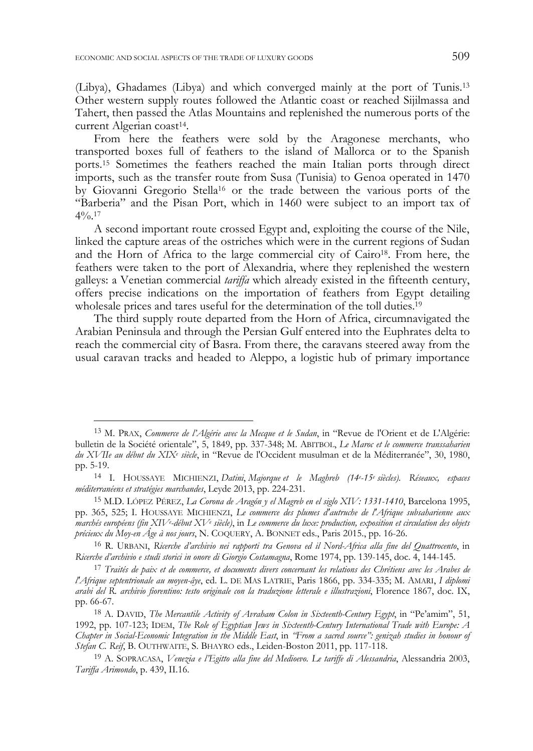j

(Libya), Ghadames (Libya) and which converged mainly at the port of Tunis.13 Other western supply routes followed the Atlantic coast or reached Sijilmassa and Tahert, then passed the Atlas Mountains and replenished the numerous ports of the current Algerian coast<sup>14</sup>.

From here the feathers were sold by the Aragonese merchants, who transported boxes full of feathers to the island of Mallorca or to the Spanish ports.15 Sometimes the feathers reached the main Italian ports through direct imports, such as the transfer route from Susa (Tunisia) to Genoa operated in 1470 by Giovanni Gregorio Stella16 or the trade between the various ports of the "Barberia" and the Pisan Port, which in 1460 were subject to an import tax of  $4\frac{0}{0}$  17

A second important route crossed Egypt and, exploiting the course of the Nile, linked the capture areas of the ostriches which were in the current regions of Sudan and the Horn of Africa to the large commercial city of Cairo18. From here, the feathers were taken to the port of Alexandria, where they replenished the western galleys: a Venetian commercial *tariffa* which already existed in the fifteenth century, offers precise indications on the importation of feathers from Egypt detailing wholesale prices and tares useful for the determination of the toll duties.<sup>19</sup>

The third supply route departed from the Horn of Africa, circumnavigated the Arabian Peninsula and through the Persian Gulf entered into the Euphrates delta to reach the commercial city of Basra. From there, the caravans steered away from the usual caravan tracks and headed to Aleppo, a logistic hub of primary importance

<sup>13</sup> M. PRAX, *Commerce de l'Algérie avec la Mecque et le Sudan*, in "Revue de l'Orient et de L'Algérie: bulletin de la Société orientale", 5, 1849, pp. 337-348; M. ABITBOL, *Le Maroc et le commerce transsaharien du XVIIe au début du XIXe siècle*, in "Revue de l'Occident musulman et de la Méditerranée", 30, 1980, pp. 5-19.

<sup>14</sup> I. HOUSSAYE MICHIENZI, *Datini*, *Majorque et le Maghreb (14e -15e siècles). Réseaux, espaces méditerranéens et stratégies marchandes*, Leyde 2013, pp. 224-231.

<sup>15</sup> M.D. LÓPEZ PÉREZ, *La Corona de Aragón y el Magreb en el siglo XIV: 1331-1410*, Barcelona 1995, pp. 365, 525; I. HOUSSAYE MICHIENZI, *Le commerce des plumes d'autruche de l'Afrique subsaharienne aux marchés européens (fin XIVe -début XVe siècle)*, in *Le commerce du luxe: production, exposition et circulation des objets précieux du Moy-en Âge à nos jours*, N. COQUERY, A. BONNET eds., Paris 2015., pp. 16-26.

<sup>16</sup> R. URBANI, *Ricerche d'archivio nei rapporti tra Genova ed il Nord-Africa alla fine del Quattrocento*, in *Ricerche d'archivio e studi storici in onore di Giorgio Costamagna*, Rome 1974, pp. 139-145, doc. 4, 144-145.

<sup>17</sup> *Traités de paix et de commerce, et documents divers concernant les relations des Chrétiens avec les Arabes de l'Afrique septentrionale au moyen-âye*, ed. L. DE MAS LATRIE, Paris 1866, pp. 334-335; M. AMARI, *I diplomi arabi del R. archivio fiorentino: testo originale con la traduzione letterale e illustrazioni*, Florence 1867, doc. IX, pp. 66-67.

<sup>18</sup> A. DAVID, *The Mercantile Activity of Avraham Colon in Sixteenth-Century Egypt*, in "Pe'amim", 51, 1992, pp. 107-123; IDEM, *The Role of Egyptian Jews in Sixteenth-Century International Trade with Europe: A Chapter in Social-Economic Integration in the Middle East*, in *"From a sacred source": genizah studies in honour of Stefan C. Reif*, B. OUTHWAITE, S. BHAYRO eds., Leiden-Boston 2011, pp. 117-118.

<sup>19</sup> A. SOPRACASA, *Venezia e l'Egitto alla fine del Medioevo. Le tariffe di Alessandria*, Alessandria 2003, *Tariffa Arimondo*, p. 439, II.16.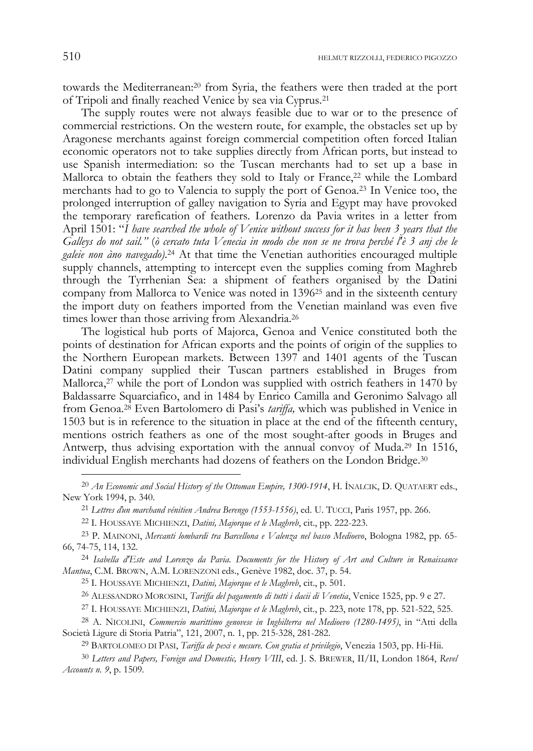towards the Mediterranean:20 from Syria, the feathers were then traded at the port of Tripoli and finally reached Venice by sea via Cyprus.21

The supply routes were not always feasible due to war or to the presence of commercial restrictions. On the western route, for example, the obstacles set up by Aragonese merchants against foreign commercial competition often forced Italian economic operators not to take supplies directly from African ports, but instead to use Spanish intermediation: so the Tuscan merchants had to set up a base in Mallorca to obtain the feathers they sold to Italy or France,<sup>22</sup> while the Lombard merchants had to go to Valencia to supply the port of Genoa.23 In Venice too, the prolonged interruption of galley navigation to Syria and Egypt may have provoked the temporary rarefication of feathers. Lorenzo da Pavia writes in a letter from April 1501: "*I have searched the whole of Venice without success for it has been 3 years that the Galleys do not sail."* (*ò cercato tuta Venecia in modo che non se ne trova perché l'è 3 anj che le*  galeie non àno navegado).<sup>24</sup> At that time the Venetian authorities encouraged multiple supply channels, attempting to intercept even the supplies coming from Maghreb through the Tyrrhenian Sea: a shipment of feathers organised by the Datini company from Mallorca to Venice was noted in 139625 and in the sixteenth century the import duty on feathers imported from the Venetian mainland was even five times lower than those arriving from Alexandria.<sup>26</sup>

The logistical hub ports of Majorca, Genoa and Venice constituted both the points of destination for African exports and the points of origin of the supplies to the Northern European markets. Between 1397 and 1401 agents of the Tuscan Datini company supplied their Tuscan partners established in Bruges from Mallorca,<sup>27</sup> while the port of London was supplied with ostrich feathers in 1470 by Baldassarre Squarciafico, and in 1484 by Enrico Camilla and Geronimo Salvago all from Genoa.28 Even Bartolomero di Pasi's *tariffa,* which was published in Venice in 1503 but is in reference to the situation in place at the end of the fifteenth century, mentions ostrich feathers as one of the most sought-after goods in Bruges and Antwerp, thus advising exportation with the annual convoy of Muda.29 In 1516, individual English merchants had dozens of feathers on the London Bridge.30

26 ALESSANDRO MOROSINI, *Tariffa del pagamento di tutti i dacii di Venetia*, Venice 1525, pp. 9 e 27.

<sup>20</sup> *An Economic and Social History of the Ottoman Empire, 1300-1914*, H. İNALCIK, D. QUATAERT eds., New York 1994, p. 340. 21 *Lettres ďun marchand vénitien Andrea Berengo (1553-1556)*, ed. U. TUCCI, Paris 1957, pp. 266.

<sup>22</sup> I. HOUSSAYE MICHIENZI, *Datini, Majorque et le Maghreb*, cit., pp. 222-223.

<sup>23</sup> P. MAINONI, *Mercanti lombardi tra Barcellona e Valenza nel basso Medioevo*, Bologna 1982, pp. 65- 66, 74-75, 114, 132.

<sup>24</sup> *Isabella d'Este and Lorenzo da Pavia. Documents for the History of Art and Culture in Renaissance Mantua*, C.M. BROWN, A.M. LORENZONI eds., Genève 1982, doc. 37, p. 54.

<sup>25</sup> I. HOUSSAYE MICHIENZI, *Datini, Majorque et le Maghreb*, cit., p. 501.

<sup>27</sup> I. HOUSSAYE MICHIENZI, *Datini, Majorque et le Maghreb*, cit., p. 223, note 178, pp. 521-522, 525.

<sup>28</sup> A. NICOLINI, *Commercio marittimo genovese in Inghilterra nel Medioevo (1280-1495)*, in "Atti della Società Ligure di Storia Patria", 121, 2007, n. 1, pp. 215-328, 281-282.

<sup>29</sup> BARTOLOMEO DI PASI, *Tariffa de pexi e mesure. Con gratia et privilegio*, Venezia 1503, pp. Hi-Hii.

<sup>30</sup> *Letters and Papers, Foreign and Domestic, Henry VIII*, ed. J. S. BREWER, II/II, London 1864, *Revel Accounts n. 9*, p. 1509.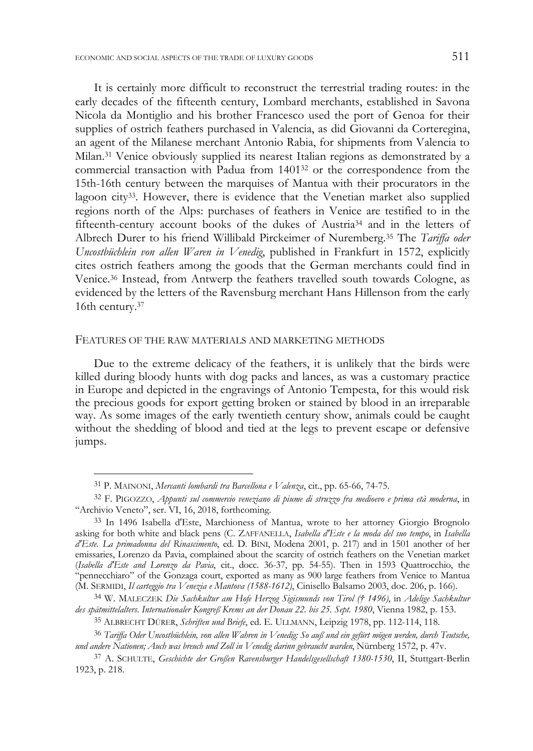It is certainly more difficult to reconstruct the terrestrial trading routes: in the early decades of the fifteenth century, Lombard merchants, established in Savona Nicola da Montiglio and his brother Francesco used the port of Genoa for their supplies of ostrich feathers purchased in Valencia, as did Giovanni da Corteregina, an agent of the Milanese merchant Antonio Rabia, for shipments from Valencia to Milan.31 Venice obviously supplied its nearest Italian regions as demonstrated by a commercial transaction with Padua from 140132 or the correspondence from the 15th-16th century between the marquises of Mantua with their procurators in the lagoon city33. However, there is evidence that the Venetian market also supplied regions north of the Alps: purchases of feathers in Venice are testified to in the fifteenth-century account books of the dukes of Austria34 and in the letters of Albrech Durer to his friend Willibald Pirckeimer of Nuremberg.35 The *Tariffa oder Uncostbüchlein von allen Waren in Venedig*, published in Frankfurt in 1572, explicitly cites ostrich feathers among the goods that the German merchants could find in Venice.36 Instead, from Antwerp the feathers travelled south towards Cologne, as evidenced by the letters of the Ravensburg merchant Hans Hillenson from the early 16th century.37

#### FEATURES OF THE RAW MATERIALS AND MARKETING METHODS

Due to the extreme delicacy of the feathers, it is unlikely that the birds were killed during bloody hunts with dog packs and lances, as was a customary practice in Europe and depicted in the engravings of Antonio Tempesta, for this would risk the precious goods for export getting broken or stained by blood in an irreparable way. As some images of the early twentieth century show, animals could be caught without the shedding of blood and tied at the legs to prevent escape or defensive jumps.

<sup>31</sup> P. MAINONI, *Mercanti lombardi tra Barcellona e Valenza*, cit., pp. 65-66, 74-75.

<sup>32</sup> F. PIGOZZO, *Appunti sul commercio veneziano di piume di struzzo fra medioevo e prima età moderna*, in "Archivio Veneto", ser. VI, 16, 2018, forthcoming.

<sup>33</sup> In 1496 Isabella d'Este, Marchioness of Mantua, wrote to her attorney Giorgio Brognolo asking for both white and black pens (C. ZAFFANELLA, *Isabella d'Este e la moda del suo tempo*, in *Isabella d'Este. La primadonna del Rinascimento*, ed. D. BINI, Modena 2001, p. 217) and in 1501 another of her emissaries, Lorenzo da Pavia, complained about the scarcity of ostrich feathers on the Venetian market (*Isabella d'Este and Lorenzo da Pavia*, cit., docc. 36-37, pp. 54-55). Then in 1593 Quattrocchio, the "pennecchiaro" of the Gonzaga court, exported as many as 900 large feathers from Venice to Mantua (M. SERMIDI, *Il carteggio tra Venezia e Mantova (1588-1612)*, Cinisello Balsamo 2003, doc. 206, p. 166).

<sup>34</sup> W. MALECZEK *Die Sachkultur am Hofe Herzog Sigismunds von Tirol († 1496)*, in *Adelige Sachkultur des spätmittelalters*. *Internationaler Kongreß Krems an der Donau 22. bis 25. Sept. 1980*, Vienna 1982, p. 153.

<sup>35</sup> ALBRECHT DÜRER, *Schriften und Briefe*, ed. E. ULLMANN, Leipzig 1978, pp. 112-114, 118.

<sup>36</sup> *Tariffa Oder Uncostbüchlein, von allen Wahren in Venedig: So auß und ein gefürt mögen werden, durch Teutsche, und andere Nationen; Auch was breuch und Zoll in Venedig darinn gebraucht warden*, Nürnberg 1572, p. 47v.

<sup>37</sup> A. SCHULTE, *Geschichte der Großen Ravensburger Handelsgesellschaft 1380-1530*, II, Stuttgart-Berlin 1923, p. 218.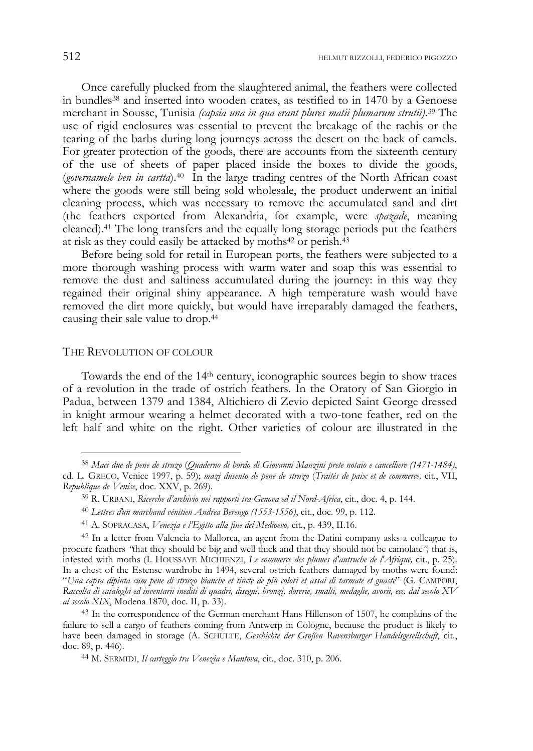Once carefully plucked from the slaughtered animal, the feathers were collected in bundles38 and inserted into wooden crates, as testified to in 1470 by a Genoese merchant in Sousse, Tunisia *(capsia una in qua erant plures matii plumarum strutii)*. 39 The use of rigid enclosures was essential to prevent the breakage of the rachis or the tearing of the barbs during long journeys across the desert on the back of camels. For greater protection of the goods, there are accounts from the sixteenth century of the use of sheets of paper placed inside the boxes to divide the goods, (*governamele ben in cartta*).40 In the large trading centres of the North African coast where the goods were still being sold wholesale, the product underwent an initial cleaning process, which was necessary to remove the accumulated sand and dirt (the feathers exported from Alexandria, for example, were *spazade*, meaning cleaned).41 The long transfers and the equally long storage periods put the feathers at risk as they could easily be attacked by moths $42$  or perish. $43$ 

Before being sold for retail in European ports, the feathers were subjected to a more thorough washing process with warm water and soap this was essential to remove the dust and saltiness accumulated during the journey: in this way they regained their original shiny appearance. A high temperature wash would have removed the dirt more quickly, but would have irreparably damaged the feathers, causing their sale value to drop.44

### THE REVOLUTION OF COLOUR

-

Towards the end of the 14th century, iconographic sources begin to show traces of a revolution in the trade of ostrich feathers. In the Oratory of San Giorgio in Padua, between 1379 and 1384, Altichiero di Zevio depicted Saint George dressed in knight armour wearing a helmet decorated with a two-tone feather, red on the left half and white on the right. Other varieties of colour are illustrated in the

<sup>38</sup> *Maci due de pene de struzo* (*Quaderno di bordo di Giovanni Manzini prete notaio e cancelliere (1471-1484)*, ed. L. GRECO, Venice 1997, p. 59); *mazi dusento de pene de struzo* (*Traités de paix et de commerce,* cit*.*, VII, *Republique de Venise*, doc. XXV, p. 269).

<sup>39</sup> R. URBANI, *Ricerche d'archivio nei rapporti tra Genova ed il Nord-Africa*, cit., doc. 4, p. 144.

<sup>40</sup> *Lettres ďun marchand vénitien Andrea Berengo (1553-1556)*, cit., doc. 99, p. 112.

<sup>41</sup> A. SOPRACASA, *Venezia e l'Egitto alla fine del Medioevo,* cit*.*, p. 439, II.16.

<sup>42</sup> In a letter from Valencia to Mallorca, an agent from the Datini company asks a colleague to procure feathers *"*that they should be big and well thick and that they should not be camolate*",* that is, infested with moths (I. HOUSSAYE MICHIENZI, *Le commerce des plumes d'autruche de l'Afrique,* cit., p. 25). In a chest of the Estense wardrobe in 1494, several ostrich feathers damaged by moths were found: "*Una capsa dipinta cum pene di struzo bianche et tincte de più colori et assai di tarmate et guaste*" (G. CAMPORI, *Raccolta di cataloghi ed inventarii inediti di quadri, disegni, bronzi, dorerie, smalti, medaglie, avorii, ecc. dal secolo XV al secolo XIX*, Modena 1870, doc. II, p. 33).

<sup>43</sup> In the correspondence of the German merchant Hans Hillenson of 1507, he complains of the failure to sell a cargo of feathers coming from Antwerp in Cologne, because the product is likely to have been damaged in storage (A. SCHULTE, *Geschichte der Großen Ravensburger Handelsgesellschaft*, cit., doc. 89, p. 446).

<sup>44</sup> M. SERMIDI, *Il carteggio tra Venezia e Mantova*, cit., doc. 310, p. 206.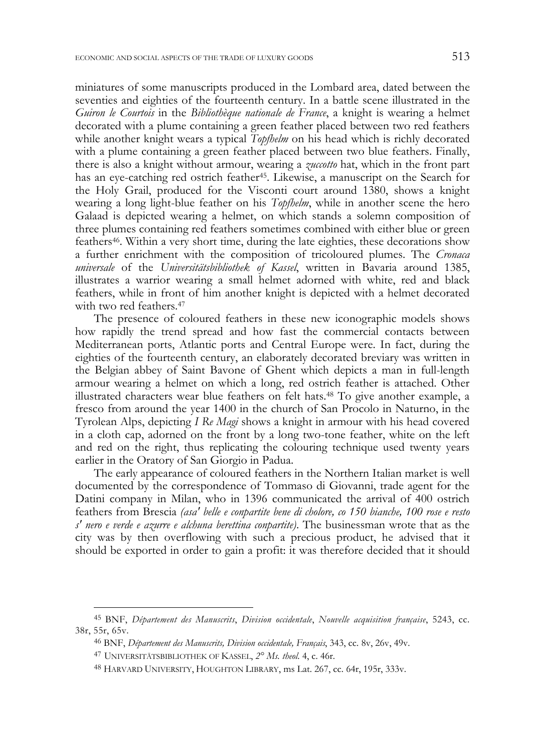miniatures of some manuscripts produced in the Lombard area, dated between the seventies and eighties of the fourteenth century. In a battle scene illustrated in the *Guiron le Courtois* in the *Bibliothèque nationale de France*, a knight is wearing a helmet decorated with a plume containing a green feather placed between two red feathers while another knight wears a typical *Topfhelm* on his head which is richly decorated with a plume containing a green feather placed between two blue feathers. Finally, there is also a knight without armour, wearing a *zuccotto* hat, which in the front part has an eye-catching red ostrich feather<sup>45</sup>. Likewise, a manuscript on the Search for the Holy Grail, produced for the Visconti court around 1380, shows a knight wearing a long light-blue feather on his *Topfhelm*, while in another scene the hero Galaad is depicted wearing a helmet, on which stands a solemn composition of three plumes containing red feathers sometimes combined with either blue or green feathers46. Within a very short time, during the late eighties, these decorations show a further enrichment with the composition of tricoloured plumes. The *Cronaca universale* of the *Universitätsbibliothek of Kassel*, written in Bavaria around 1385, illustrates a warrior wearing a small helmet adorned with white, red and black feathers, while in front of him another knight is depicted with a helmet decorated with two red feathers.<sup>47</sup>

The presence of coloured feathers in these new iconographic models shows how rapidly the trend spread and how fast the commercial contacts between Mediterranean ports, Atlantic ports and Central Europe were. In fact, during the eighties of the fourteenth century, an elaborately decorated breviary was written in the Belgian abbey of Saint Bavone of Ghent which depicts a man in full-length armour wearing a helmet on which a long, red ostrich feather is attached. Other illustrated characters wear blue feathers on felt hats.48 To give another example, a fresco from around the year 1400 in the church of San Procolo in Naturno, in the Tyrolean Alps, depicting *I Re Magi* shows a knight in armour with his head covered in a cloth cap, adorned on the front by a long two-tone feather, white on the left and red on the right, thus replicating the colouring technique used twenty years earlier in the Oratory of San Giorgio in Padua.

The early appearance of coloured feathers in the Northern Italian market is well documented by the correspondence of Tommaso di Giovanni, trade agent for the Datini company in Milan, who in 1396 communicated the arrival of 400 ostrich feathers from Brescia *(asa' belle e conpartite bene di cholore, co 150 bianche, 100 rose e resto s' nero e verde e azurre e alchuna berettina conpartite)*. The businessman wrote that as the city was by then overflowing with such a precious product, he advised that it should be exported in order to gain a profit: it was therefore decided that it should

j

<sup>45</sup> BNF, *Département des Manuscrits*, *Division occidentale*, *Nouvelle acquisition française*, 5243, cc. 38r, 55r, 65v.

<sup>46</sup> BNF, *Département des Manuscrits, Division occidentale, Français*, 343, cc. 8v, 26v, 49v.

<sup>47</sup> UNIVERSITÄTSBIBLIOTHEK OF KASSEL, *2° Ms. theol*. 4, c. 46r.

<sup>48</sup> HARVARD UNIVERSITY, HOUGHTON LIBRARY, ms Lat. 267, cc. 64r, 195r, 333v.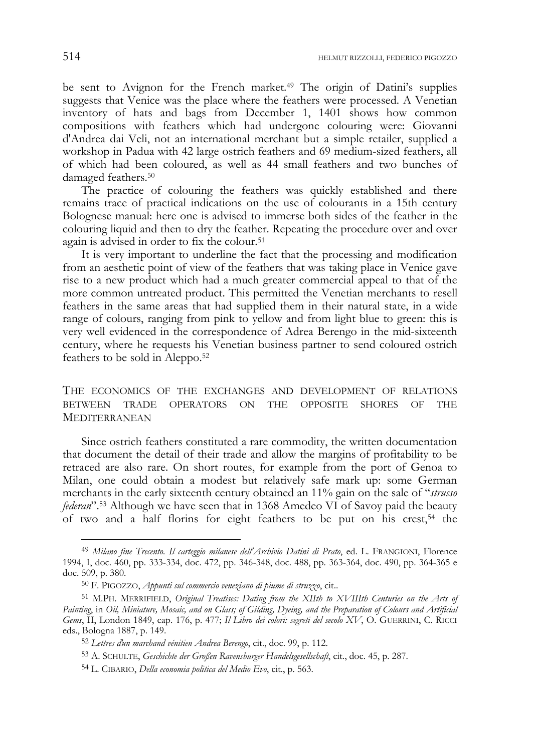be sent to Avignon for the French market.<sup>49</sup> The origin of Datini's supplies suggests that Venice was the place where the feathers were processed. A Venetian inventory of hats and bags from December 1, 1401 shows how common compositions with feathers which had undergone colouring were: Giovanni d'Andrea dai Veli, not an international merchant but a simple retailer, supplied a workshop in Padua with 42 large ostrich feathers and 69 medium-sized feathers, all of which had been coloured, as well as 44 small feathers and two bunches of damaged feathers.50

The practice of colouring the feathers was quickly established and there remains trace of practical indications on the use of colourants in a 15th century Bolognese manual: here one is advised to immerse both sides of the feather in the colouring liquid and then to dry the feather. Repeating the procedure over and over again is advised in order to fix the colour.<sup>51</sup>

It is very important to underline the fact that the processing and modification from an aesthetic point of view of the feathers that was taking place in Venice gave rise to a new product which had a much greater commercial appeal to that of the more common untreated product. This permitted the Venetian merchants to resell feathers in the same areas that had supplied them in their natural state, in a wide range of colours, ranging from pink to yellow and from light blue to green: this is very well evidenced in the correspondence of Adrea Berengo in the mid-sixteenth century, where he requests his Venetian business partner to send coloured ostrich feathers to be sold in Aleppo.52

THE ECONOMICS OF THE EXCHANGES AND DEVELOPMENT OF RELATIONS BETWEEN TRADE OPERATORS ON THE OPPOSITE SHORES OF THE **MEDITERRANEAN** 

Since ostrich feathers constituted a rare commodity, the written documentation that document the detail of their trade and allow the margins of profitability to be retraced are also rare. On short routes, for example from the port of Genoa to Milan, one could obtain a modest but relatively safe mark up: some German merchants in the early sixteenth century obtained an 11% gain on the sale of "*strusso federan*".53 Although we have seen that in 1368 Amedeo VI of Savoy paid the beauty of two and a half florins for eight feathers to be put on his crest, $54$  the

<sup>49</sup> Milano fine Trecento. Il carteggio milanese dell'Archivio Datini di Prato, ed. L. FRANGIONI, Florence 1994, I, doc. 460, pp. 333-334, doc. 472, pp. 346-348, doc. 488, pp. 363-364, doc. 490, pp. 364-365 e doc. 509, p. 380.

<sup>50</sup> F. PIGOZZO, *Appunti sul commercio veneziano di piume di struzzo*, cit..

<sup>51</sup> M.PH. MERRIFIELD, *Original Treatises: Dating from the XIIth to XVIIIth Centuries on the Arts of Painting*, in *Oil, Miniature, Mosaic, and on Glass; of Gilding, Dyeing, and the Preparation of Colours and Artificial Gems*, II, London 1849, cap. 176, p. 477; *Il Libro dei colori: segreti del secolo XV*, O. GUERRINI, C. RICCI eds., Bologna 1887, p. 149.

<sup>52</sup> *Lettres ďun marchand vénitien Andrea Berengo*, cit., doc. 99, p. 112.

<sup>53</sup> A. SCHULTE, *Geschichte der Großen Ravensburger Handelsgesellschaft*, cit., doc. 45, p. 287.

<sup>54</sup> L. CIBARIO, *Della economia politica del Medio Evo*, cit., p. 563.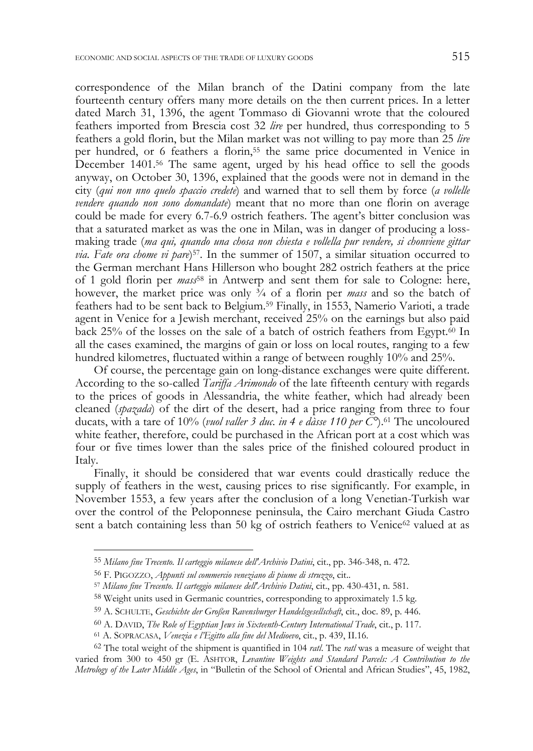correspondence of the Milan branch of the Datini company from the late fourteenth century offers many more details on the then current prices. In a letter dated March 31, 1396, the agent Tommaso di Giovanni wrote that the coloured feathers imported from Brescia cost 32 *lire* per hundred, thus corresponding to 5 feathers a gold florin, but the Milan market was not willing to pay more than 25 *lire* per hundred, or 6 feathers a florin,<sup>55</sup> the same price documented in Venice in December 1401.56 The same agent, urged by his head office to sell the goods anyway, on October 30, 1396, explained that the goods were not in demand in the city (*qui non nno quelo spaccio credete*) and warned that to sell them by force (*a vollelle vendere quando non sono domandate*) meant that no more than one florin on average could be made for every 6.7-6.9 ostrich feathers. The agent's bitter conclusion was that a saturated market as was the one in Milan, was in danger of producing a lossmaking trade (*ma qui, quando una chosa non chiesta e vollella pur vendere, si chonviene gittar via. Fate ora chome vi pare*)57. In the summer of 1507, a similar situation occurred to the German merchant Hans Hillerson who bought 282 ostrich feathers at the price of 1 gold florin per *mass*58 in Antwerp and sent them for sale to Cologne: here, however, the market price was only  $\frac{3}{4}$  of a florin per *mass* and so the batch of feathers had to be sent back to Belgium.59 Finally, in 1553, Namerio Varioti, a trade agent in Venice for a Jewish merchant, received 25% on the earnings but also paid back 25% of the losses on the sale of a batch of ostrich feathers from Egypt. $\frac{60}{1}$  In all the cases examined, the margins of gain or loss on local routes, ranging to a few hundred kilometres, fluctuated within a range of between roughly 10% and 25%.

Of course, the percentage gain on long-distance exchanges were quite different. According to the so-called *Tariffa Arimondo* of the late fifteenth century with regards to the prices of goods in Alessandria, the white feather, which had already been cleaned (*spazada*) of the dirt of the desert, had a price ranging from three to four ducats, with a tare of 10% (*vuol valler 3 duc. in 4 e dàsse 110 per*  $\tilde{C}$ <sup>o</sup>).<sup>61</sup> The uncoloured white feather, therefore, could be purchased in the African port at a cost which was four or five times lower than the sales price of the finished coloured product in Italy.

Finally, it should be considered that war events could drastically reduce the supply of feathers in the west, causing prices to rise significantly. For example, in November 1553, a few years after the conclusion of a long Venetian-Turkish war over the control of the Peloponnese peninsula, the Cairo merchant Giuda Castro sent a batch containing less than 50 kg of ostrich feathers to Venice<sup>62</sup> valued at as

j

<sup>55</sup> *Milano fine Trecento. Il carteggio milanese dell'Archivio Datini*, cit., pp. 346-348, n. 472.

<sup>56</sup> F. PIGOZZO, *Appunti sul commercio veneziano di piume di struzzo*, cit.. 57 *Milano fine Trecento. Il carteggio milanese dell'Archivio Datini*, cit., pp. 430-431, n. 581.

<sup>58</sup> Weight units used in Germanic countries, corresponding to approximately 1.5 kg.

<sup>59</sup> A. SCHULTE, *Geschichte der Großen Ravensburger Handelsgesellschaft*, cit., doc. 89, p. 446.

<sup>60</sup> A. DAVID, *The Role of Egyptian Jews in Sixteenth-Century International Trade*, cit., p. 117. 61 A. SOPRACASA, *Venezia e l'Egitto alla fine del Medioevo*, cit., p. 439, II.16.

<sup>62</sup> The total weight of the shipment is quantified in 104 *ratl*. The *ratl* was a measure of weight that varied from 300 to 450 gr (E. ASHTOR, *Levantine Weights and Standard Parcels: A Contribution to the Metrology of the Later Middle Ages*, in "Bulletin of the School of Oriental and African Studies", 45, 1982,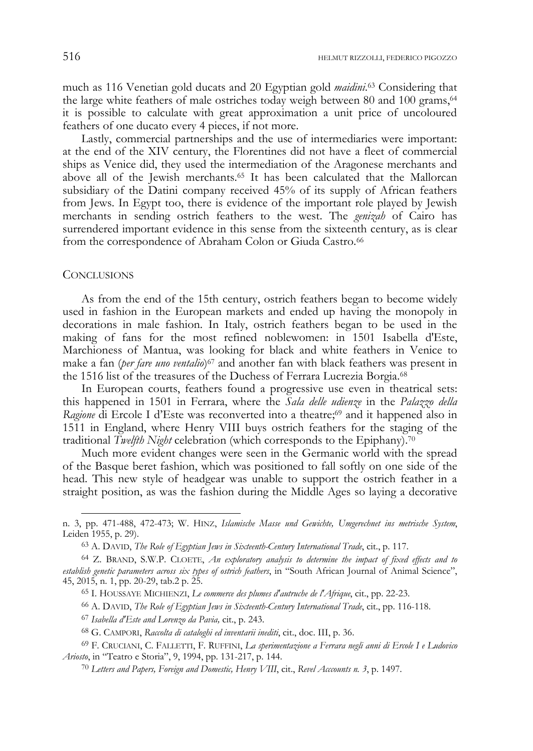much as 116 Venetian gold ducats and 20 Egyptian gold *maidini*. 63 Considering that the large white feathers of male ostriches today weigh between 80 and 100 grams, $64$ it is possible to calculate with great approximation a unit price of uncoloured feathers of one ducato every 4 pieces, if not more.

Lastly, commercial partnerships and the use of intermediaries were important: at the end of the XIV century, the Florentines did not have a fleet of commercial ships as Venice did, they used the intermediation of the Aragonese merchants and above all of the Jewish merchants.65 It has been calculated that the Mallorcan subsidiary of the Datini company received 45% of its supply of African feathers from Jews. In Egypt too, there is evidence of the important role played by Jewish merchants in sending ostrich feathers to the west. The *genizah* of Cairo has surrendered important evidence in this sense from the sixteenth century, as is clear from the correspondence of Abraham Colon or Giuda Castro.<sup>66</sup>

#### **CONCLUSIONS**

As from the end of the 15th century, ostrich feathers began to become widely used in fashion in the European markets and ended up having the monopoly in decorations in male fashion. In Italy, ostrich feathers began to be used in the making of fans for the most refined noblewomen: in 1501 Isabella d'Este, Marchioness of Mantua, was looking for black and white feathers in Venice to make a fan (*per fare uno ventalio*)67 and another fan with black feathers was present in the 1516 list of the treasures of the Duchess of Ferrara Lucrezia Borgia.68

In European courts, feathers found a progressive use even in theatrical sets: this happened in 1501 in Ferrara, where the *Sala delle udienze* in the *Palazzo della Ragione* di Ercole I d'Este was reconverted into a theatre;<sup>69</sup> and it happened also in 1511 in England, where Henry VIII buys ostrich feathers for the staging of the traditional *Twelfth Night* celebration (which corresponds to the Epiphany).70

Much more evident changes were seen in the Germanic world with the spread of the Basque beret fashion, which was positioned to fall softly on one side of the head. This new style of headgear was unable to support the ostrich feather in a straight position, as was the fashion during the Middle Ages so laying a decorative

<sup>67</sup> *Isabella d'Este and Lorenzo da Pavia,* cit., p. 243.

n. 3, pp. 471-488, 472-473; W. HINZ, *Islamische Masse und Gewichte, Umgerechnet ins metrische System*, Leiden 1955, p. 29).

<sup>63</sup> A. DAVID, *The Role of Egyptian Jews in Sixteenth-Century International Trade*, cit., p. 117.

<sup>64</sup> Z. BRAND, S.W.P. CLOETE, *An exploratory analysis to determine the impact of fixed effects and to establish genetic parameters across six types of ostrich feathers*, in "South African Journal of Animal Science", 45, 2015, n. 1, pp. 20-29, tab.2 p. 25.

<sup>65</sup> I. HOUSSAYE MICHIENZI, *Le commerce des plumes d'autruche de l'Afrique*, cit., pp. 22-23.

<sup>66</sup> A. DAVID, *The Role of Egyptian Jews in Sixteenth-Century International Trade*, cit., pp. 116-118.

<sup>68</sup> G. CAMPORI, *Raccolta di cataloghi ed inventarii inediti*, cit., doc. III, p. 36.

<sup>69</sup> F. CRUCIANI, C. FALLETTI, F. RUFFINI, *La sperimentazione a Ferrara negli anni di Ercole I e Ludovico Ariosto*, in "Teatro e Storia", 9, 1994, pp. 131-217, p. 144.

<sup>70</sup> *Letters and Papers, Foreign and Domestic, Henry VIII*, cit., *Revel Acccounts n. 3*, p. 1497.